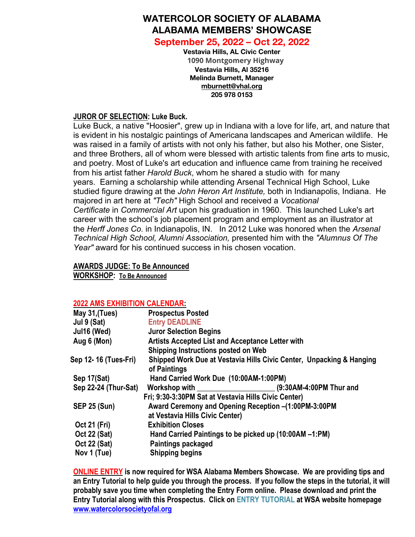# **WATERCOLOR SOCIETY OF ALABAMA ALABAMA MEMBERS' SHOWCASE**

**September 25, 2022 – Oct 22, 2022**

**Vestavia Hills, AL Civic Center 1090 Montgomery Highway Vestavia Hills, Al 35216 Melinda Burnett, Manager mburnett@vhal.org 205 978 0153**

## **JUROR OF SELECTION: Luke Buck.**

Luke Buck, a native "Hoosier", grew up in Indiana with a love for life, art, and nature that is evident in his nostalgic paintings of Americana landscapes and American wildlife. He was raised in a family of artists with not only his father, but also his Mother, one Sister, and three Brothers, all of whom were blessed with artistic talents from fine arts to music, and poetry. Most of Luke's art education and influence came from training he received from his artist father *Harold Buck*, whom he shared a studio with for many years. Earning a scholarship while attending Arsenal Technical High School, Luke studied figure drawing at the *John Heron Art Institute,* both in Indianapolis, Indiana. He majored in art here at *"Tech"* High School and received a *Vocational Certificate* in *Commercial Art* upon his graduation in 1960. This launched Luke's art career with the school's job placement program and employment as an illustrator at the *Herff Jones Co.* in Indianapolis, IN. In 2012 Luke was honored when the *Arsenal Technical High School, Alumni Association,* presented him with the *"Alumnus Of The Year"* award for his continued success in his chosen vocation.

# **AWARDS JUDGE: To Be Announced**

**WORKSHOP: To Be Announced**

## **2022 AMS EXHIBITION CALENDAR:**

| May 31, (Tues)       | <b>Prospectus Posted</b>                                                             |
|----------------------|--------------------------------------------------------------------------------------|
| Jul 9 (Sat)          | <b>Entry DEADLINE</b>                                                                |
| Jul16 (Wed)          | <b>Juror Selection Begins</b>                                                        |
| Aug 6 (Mon)          | <b>Artists Accepted List and Acceptance Letter with</b>                              |
|                      | Shipping Instructions posted on Web                                                  |
| Sep 12-16 (Tues-Fri) | Shipped Work Due at Vestavia Hills Civic Center, Unpacking & Hanging<br>of Paintings |
| Sep 17(Sat)          | Hand Carried Work Due (10:00AM-1:00PM)                                               |
| Sep 22-24 (Thur-Sat) | (9:30AM-4:00PM Thur and<br>Workshop with                                             |
|                      | Fri; 9:30-3:30PM Sat at Vestavia Hills Civic Center)                                 |
| <b>SEP 25 (Sun)</b>  | Award Ceremony and Opening Reception -(1:00PM-3:00PM                                 |
|                      | at Vestavia Hills Civic Center)                                                      |
| <b>Oct 21 (Fri)</b>  | <b>Exhibition Closes</b>                                                             |
| <b>Oct 22 (Sat)</b>  | Hand Carried Paintings to be picked up (10:00AM -1:PM)                               |
| <b>Oct 22 (Sat)</b>  | Paintings packaged                                                                   |
| Nov 1 (Tue)          | <b>Shipping begins</b>                                                               |
|                      |                                                                                      |

**ONLINE ENTRY is now required for WSA Alabama Members Showcase. We are providing tips and** an Entry Tutorial to help guide you through the process. If you follow the steps in the tutorial, it will **probably save you time when completing the Entry Form online. Please download and print the Entry Tutorial along with this Prospectus. Click on ENTRY TUTORIAL at WSA website homepage www.watercolorsocietyofal.org**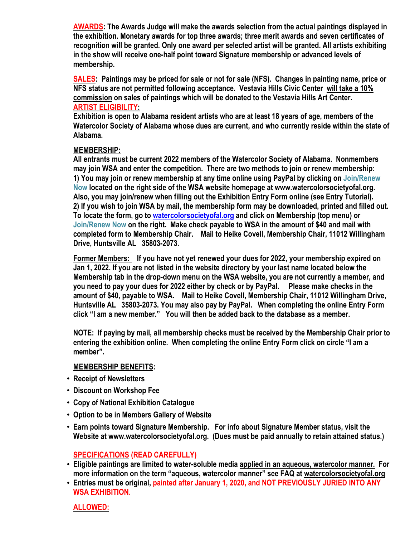**AWARDS: The Awards Judge will make the awards selection from the actual paintings displayed in the exhibition. Monetary awards for top three awards; three merit awards and seven certificates of recognition will be granted. Only one award per selected artist will be granted. All artists exhibiting in the show will receive one-half point toward Signature membership or advanced levels of membership.**

**SALES: Paintings may be priced for sale or not for sale (NFS). Changes in painting name, price or NFS status are not permitted following acceptance. Vestavia Hills Civic Center will take a 10% commission on sales of paintings which will be donated to the Vestavia Hills Art Center. ARTIST ELIGIBILITY:**

**Exhibition is open to Alabama resident artists who are at least 18 years of age, members of the Watercolor Society of Alabama whose dues are current, and who currently reside within the state of Alabama.**

#### **MEMBERSHIP:**

**All entrants must be current 2022 members of the Watercolor Society of Alabama. Nonmembers may join WSA and enter the competition. There are two methods to join or renew membership: 1) You may join or renew membership at any time online using PayPal by clicking on Join/Renew Now located on the right side of the WSA website homepage at www.watercolorsocietyofal.org. Also, you may join/renew when filling out the Exhibition Entry Form online (see Entry Tutorial).** 2) If you wish to join WSA by mail, the membership form may be downloaded, printed and filled out. **To locate the form, go to watercolorsocietyofal.org and click on Membership (top menu) or Join/Renew Now on the right. Make check payable to WSA in the amount of \$40 and mail with completed form to Membership Chair. Mail to Heike Covell, Membership Chair, 11012 Willingham Drive, Huntsville AL 35803-2073.**

**Former Members: If you have not yet renewed your dues for 2022, your membership expired on Jan 1, 2022. If you are not listed in the website directory by your last name located below the Membership tab in the drop-down menu on the WSA website, you are not currently a member, and you need to pay your dues for 2022 either by check or by PayPal. Please make checks in the amount of \$40, payable to WSA. Mail to Heike Covell, Membership Chair, 11012 Willingham Drive, Huntsville AL 35803-2073. You may also pay by PayPal. When completing the online Entry Form click "I am a new member." You will then be added back to the database as a member.**

**NOTE: If paying by mail, all membership checks must be received by the Membership Chair prior to entering the exhibition online. When completing the online Entry Form click on circle "I am a member".**

#### **MEMBERSHIP BENEFITS:**

- ! **Receipt of Newsletters**
- ! **Discount on Workshop Fee**
- ! **Copy of National Exhibition Catalogue**
- ! **Option to be in Members Gallery of Website**
- ! **Earn points toward Signature Membership. For info about Signature Member status, visit the Website at www.watercolorsocietyofal.org. (Dues must be paid annually to retain attained status.)**

## **SPECIFICATIONS (READ CAREFULLY)**

- **Eligible paintings are limited to water-soluble media applied in an aqueous, watercolor manner. For more information on the term "aqueous, watercolor manner" see FAQ at watercolorsocietyofal.org**
- **Entries must be original, painted after January 1, 2020, and NOT PREVIOUSLY JURIED INTO ANY WSA EXHIBITION.**

**ALLOWED:**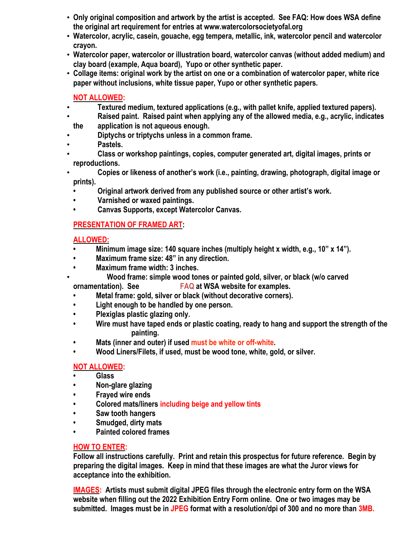- **Only original composition and artwork by the artist is accepted. See FAQ: How does WSA define the original art requirement for entries at www.watercolorsocietyofal.org**
- **Watercolor, acrylic, casein, gouache, egg tempera, metallic, ink, watercolor pencil and watercolor crayon.**
- **Watercolor paper, watercolor or illustration board, watercolor canvas (without added medium) and clay board (example, Aqua board), Yupo or other synthetic paper.**
- **Collage items: original work by the artist on one or a combination of watercolor paper, white rice paper without inclusions, white tissue paper, Yupo or other synthetic papers.**

## **NOT ALLOWED:**

- **Textured medium, textured applications (e.g., with pallet knife, applied textured papers).**
- **Raised paint. Raised paint when applying any of the allowed media, e.g., acrylic, indicates the application is not aqueous enough.**
- **Diptychs or triptychs unless in a common frame.**
- **Pastels.**
- **Class or workshop paintings, copies, computer generated art, digital images, prints or reproductions.**
- **Copies or likeness of another's work (i.e., painting, drawing, photograph, digital image or prints).**
	- **Original artwork derived from any published source or other artist's work.**
	- **Varnished or waxed paintings.**
	- **Canvas Supports, except Watercolor Canvas.**

# **PRESENTATION OF FRAMED ART:**

# **ALLOWED:**

- **Minimum image size: 140 square inches (multiply height x width, e.g., 10" x 14").**
- **Maximum frame size: 48" in any direction.**
- **Maximum frame width: 3 inches.**
	- • **Wood frame: simple wood tones or painted gold, silver, or black (w/o carved**

**ornamentation). See FAQ at WSA website for examples.**

- **Metal frame: gold, silver or black (without decorative corners).**
- **Light enough to be handled by one person.**
- **Plexiglas plastic glazing only.**
- **Wire must have taped ends or plastic coating, ready to hang and support the strength of the painting.**
- **Mats (inner and outer) if used must be white or off-white.**
- **Wood Liners/Filets, if used, must be wood tone, white, gold, or silver.**

## **NOT ALLOWED:**

- **Glass**
- **Non-glare glazing**
- **Frayed wire ends**
- **Colored mats/liners including beige and yellow tints**
- **Saw tooth hangers**
- **Smudged, dirty mats**
- **Painted colored frames**

## **HOW TO ENTER:**

**Follow all instructions carefully. Print and retain this prospectus for future reference. Begin by preparing the digital images. Keep in mind that these images are what the Juror views for acceptance into the exhibition.**

**IMAGES: Artists must submit digital JPEG files through the electronic entry form on the WSA website when filling out the 2022 Exhibition Entry Form online. One or two images may be submitted. Images must be in JPEG format with a resolution/dpi of 300 and no more than 3MB.**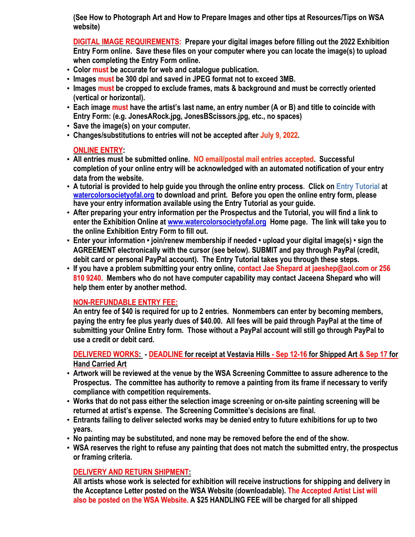**(See How to Photograph Art and How to Prepare Images and other tips at Resources/Tips on WSA website)**

**DIGITAL IMAGE REQUIREMENTS: Prepare your digital images before filling out the 2022 Exhibition Entry Form online. Save these files on your computer where you can locate the image(s) to upload when completing the Entry Form online.**

- **Color must be accurate for web and catalogue publication.**
- **Images must be 300 dpi and saved in JPEG format not to exceed 3MB.**
- **Images must be cropped to exclude frames, mats & background and must be correctly oriented (vertical or horizontal).**
- Each image must have the artist's last name, an entry number (A or B) and title to coincide with **Entry Form: (e.g. JonesARock.jpg, JonesBScissors.jpg, etc., no spaces)**
- **Save the image(s) on your computer.**
- **Changes/substitutions to entries will not be accepted after July 9, 2022.**

# **ONLINE ENTRY:**

- **All entries must be submitted online. NO email/postal mail entries accepted. Successful completion of your online entry will be acknowledged with an automated notification of your entry data from the website.**
- **A tutorial is provided to help guide you through the online entry process. Click on Entry Tutorial at watercolorsocietyofal.org to download and print. Before you open the online entry form, please have your entry information available using the Entry Tutorial as your guide.**
- **After preparing your entry information per the Prospectus and the Tutorial, you will find a link to enter the Exhibition Online at www.watercolorsocietyofal.org Home page. The link will take you to the online Exhibition Entry Form to fill out.**
- **Enter your information • join/renew membership if needed • upload your digital image(s) • sign the AGREEMENT electronically with the cursor (see below). SUBMIT and pay through PayPal (credit, debit card or personal PayPal account). The Entry Tutorial takes you through these steps.**
- **If you have a problem submitting your entry online, contact Jae Shepard at jaeshep@aol.com or 256 810 9240. Members who do not have computer capability may contact Jaceena Shepard who will help them enter by another method.**

# **NON-REFUNDABLE ENTRY FEE:**

**An entry fee of \$40 is required for up to 2 entries. Nonmembers can enter by becoming members,** paying the entry fee plus yearly dues of \$40.00. All fees will be paid through PayPal at the time of **submitting your Online Entry form. Those without a PayPal account will still go through PayPal to use a credit or debit card.**

DELIVERED WORKS: DEADLINE for receipt at Vestavia Hills - Sep 12-16 for Shipped Art & Sep 17 for **Hand Carried Art**

- **Artwork will be reviewed at the venue by the WSA Screening Committee to assure adherence to the Prospectus. The committee has authority to remove a painting from its frame if necessary to verify compliance with competition requirements.**
- **Works that do not pass either the selection image screening or on-site painting screening will be returned at artist's expense. The Screening Committee's decisions are final.**
- **Entrants failing to deliver selected works may be denied entry to future exhibitions for up to two years.**
- **No painting may be substituted, and none may be removed before the end of the show.**
- **WSA reserves the right to refuse any painting that does not match the submitted entry, the prospectus or framing criteria.**

# **DELIVERY AND RETURN SHIPMENT:**

**All artists whose work is selected for exhibition will receive instructions for shipping and delivery in the Acceptance Letter posted on the WSA Website (downloadable). The Accepted Artist List will also be posted on the WSA Website. A \$25 HANDLING FEE will be charged for all shipped**